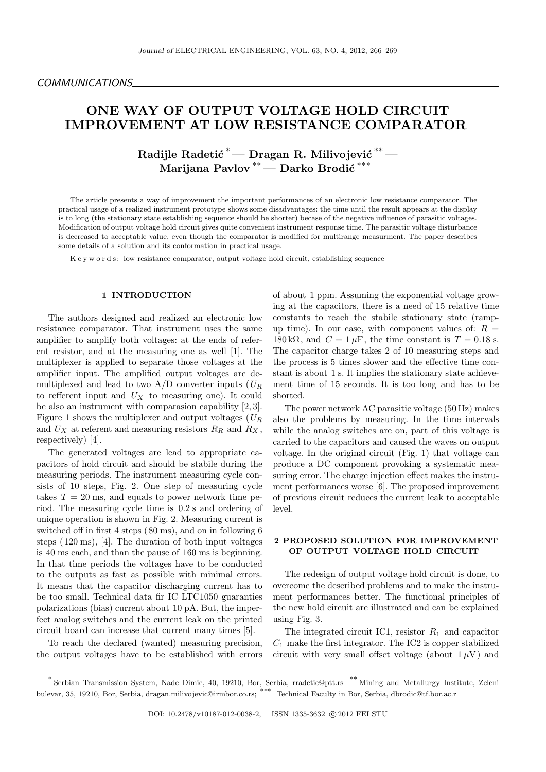# **ONE WAY OF OUTPUT VOLTAGE HOLD CIRCUIT IMPROVEMENT AT LOW RESISTANCE COMPARATOR**

**Radijle Radetić<sup>\*</sup>— Dragan R. Milivojević<sup>\*\*</sup>— Marijana Pavlov** *∗∗***— Darko Brodi´c** *∗∗∗*

The article presents a way of improvement the important performances of an electronic low resistance comparator. The practical usage of a realized instrument prototype shows some disadvantages: the time until the result appears at the display is to long (the stationary state establishing sequence should be shorter) becase of the negative influence of parasitic voltages. Modification of output voltage hold circuit gives quite convenient instrument response time. The parasitic voltage disturbance is decreased to acceptable value, even though the comparator is modified for multirange measurment. The paper describes some details of a solution and its conformation in practical usage.

K e y w o r d s: low resistance comparator, output voltage hold circuit, establishing sequence

### **1 INTRODUCTION**

The authors designed and realized an electronic low resistance comparator. That instrument uses the same amplifier to amplify both voltages: at the ends of referent resistor, and at the measuring one as well [1]. The multiplexer is applied to separate those voltages at the amplifier input. The amplified output voltages are demultiplexed and lead to two A/D converter inputs (*U<sup>R</sup>* to refferent input and  $U_X$  to measuring one). It could be also an instrument with comparasion capability [2, 3]. Figure 1 shows the multiplexer and output voltages (*U<sup>R</sup>* and  $U_X$  at referent and measuring resistors  $R_R$  and  $R_X$ , respectively) [4].

The generated voltages are lead to appropriate capacitors of hold circuit and should be stabile during the measuring periods. The instrument measuring cycle consists of 10 steps, Fig. 2. One step of measuring cycle takes  $T = 20$  ms, and equals to power network time period. The measuring cycle time is 0*.*2 s and ordering of unique operation is shown in Fig. 2. Measuring current is switched off in first 4 steps  $(80 \text{ ms})$ , and on in following 6 steps ( 120 ms), [4]. The duration of both input voltages is 40 ms each, and than the pause of 160 ms is beginning. In that time periods the voltages have to be conducted to the outputs as fast as possible with minimal errors. It means that the capacitor discharging current has to be too small. Technical data fir IC LTC1050 guaranties polarizations (bias) current about 10 pA. But, the imperfect analog switches and the current leak on the printed circuit board can increase that current many times [5].

To reach the declared (wanted) measuring precision, the output voltages have to be established with errors of about 1 ppm. Assuming the exponential voltage growing at the capacitors, there is a need of 15 relative time constants to reach the stabile stationary state (rampup time). In our case, with component values of:  $R =$  $180 \text{ k}\Omega$ , and  $C = 1 \mu \text{F}$ , the time constant is  $T = 0.18 \text{ s}$ . The capacitor charge takes 2 of 10 measuring steps and the process is 5 times slower and the effective time constant is about 1 s. It implies the stationary state achievement time of 15 seconds. It is too long and has to be shorted.

The power network AC parasitic voltage (50 Hz) makes also the problems by measuring. In the time intervals while the analog switches are on, part of this voltage is carried to the capacitors and caused the waves on output voltage. In the original circuit (Fig. 1) that voltage can produce a DC component provoking a systematic measuring error. The charge injection effect makes the instrument performances worse [6]. The proposed improvement of previous circuit reduces the current leak to acceptable level.

## **2 PROPOSED SOLUTION FOR IMPROVEMENT OF OUTPUT VOLTAGE HOLD CIRCUIT**

The redesign of output voltage hold circuit is done, to overcome the described problems and to make the instrument performances better. The functional principles of the new hold circuit are illustrated and can be explained using Fig. 3.

The integrated circuit IC1, resistor  $R_1$  and capacitor  $C_1$  make the first integrator. The IC2 is copper stabilized circuit with very small offset voltage (about  $1 \mu V$ ) and

*<sup>∗</sup>* Serbian Transmission System, Nade Dimic, 40, 19210, Bor, Serbia, rradetic@ptt.rs *∗∗* Mining and Metallurgy Institute, Zeleni bulevar, 35, 19210, Bor, Serbia, dragan.milivojevic@irmbor.co.rs; *∗∗∗* Technical Faculty in Bor, Serbia, dbrodic@tf.bor.ac.r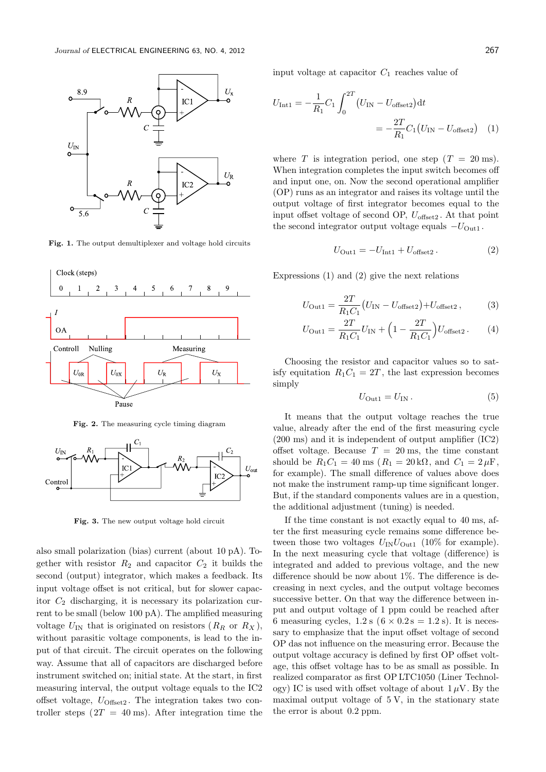

**Fig. 1.** The output demultiplexer and voltage hold circuits



**Fig. 2.** The measuring cycle timing diagram



**Fig. 3.** The new output voltage hold circuit

also small polarization (bias) current (about 10 pA). Together with resistor  $R_2$  and capacitor  $C_2$  it builds the second (output) integrator, which makes a feedback. Its input voltage offset is not critical, but for slower capacitor  $C_2$  discharging, it is necessary its polarization current to be small (below 100 pA). The amplified measuring voltage  $U_{\text{IN}}$  that is originated on resistors  $(R_R \text{ or } R_X)$ , without parasitic voltage components, is lead to the input of that circuit. The circuit operates on the following way. Assume that all of capacitors are discharged before instrument switched on; initial state. At the start, in first measuring interval, the output voltage equals to the IC2 offset voltage,  $U_{\text{Offset2}}$ . The integration takes two controller steps  $(2T = 40 \text{ ms})$ . After integration time the

input voltage at capacitor *C*<sup>1</sup> reaches value of

$$
U_{\text{Int1}} = -\frac{1}{R_1} C_1 \int_0^{2T} (U_{\text{IN}} - U_{\text{offset2}}) dt
$$
  
= 
$$
-\frac{2T}{R_1} C_1 (U_{\text{IN}} - U_{\text{offset2}})
$$
(1)

where *T* is integration period, one step  $(T = 20 \text{ ms})$ . When integration completes the input switch becomes off and input one, on. Now the second operational amplifier (OP) runs as an integrator and raises its voltage until the output voltage of first integrator becomes equal to the input offset voltage of second OP, *U*offset2 . At that point the second integrator output voltage equals *−U*Out1 .

$$
U_{\text{Out1}} = -U_{\text{Int1}} + U_{\text{offset2}}.
$$
 (2)

Expressions (1) and (2) give the next relations

$$
U_{\text{Out1}} = \frac{2T}{R_1 C_1} (U_{\text{IN}} - U_{\text{offset2}}) + U_{\text{offset2}} ,\qquad (3)
$$

$$
U_{\text{Out1}} = \frac{2T}{R_1 C_1} U_{\text{IN}} + \left(1 - \frac{2T}{R_1 C_1}\right) U_{\text{offset2}}.
$$
 (4)

Choosing the resistor and capacitor values so to satisfy equitation  $R_1C_1 = 2T$ , the last expression becomes simply

$$
U_{\text{Out1}} = U_{\text{IN}}.
$$
\n<sup>(5)</sup>

It means that the output voltage reaches the true value, already after the end of the first measuring cycle (200 ms) and it is independent of output amplifier (IC2) offset voltage. Because  $T = 20$  ms, the time constant should be  $R_1C_1 = 40$  ms ( $R_1 = 20 \text{ k}\Omega$ , and  $C_1 = 2 \mu \text{F}$ , for example). The small difference of values above does not make the instrument ramp-up time significant longer. But, if the standard components values are in a question, the additional adjustment (tuning) is needed.

If the time constant is not exactly equal to 40 ms, after the first measuring cycle remains some difference between those two voltages  $U_{\text{IN}}U_{\text{Out1}}$  (10% for example). In the next measuring cycle that voltage (difference) is integrated and added to previous voltage, and the new difference should be now about 1%. The difference is decreasing in next cycles, and the output voltage becomes successive better. On that way the difference between input and output voltage of 1 ppm could be reached after 6 measuring cycles,  $1.2$  s ( $6 \times 0.2$  s = 1.2 s). It is necessary to emphasize that the input offset voltage of second OP das not influence on the measuring error. Because the output voltage accuracy is defined by first OP offset voltage, this offset voltage has to be as small as possible. In realized comparator as first OP LTC1050 (Liner Technology) IC is used with offset voltage of about  $1 \mu V$ . By the maximal output voltage of 5 V, in the stationary state the error is about 0*.*2 ppm.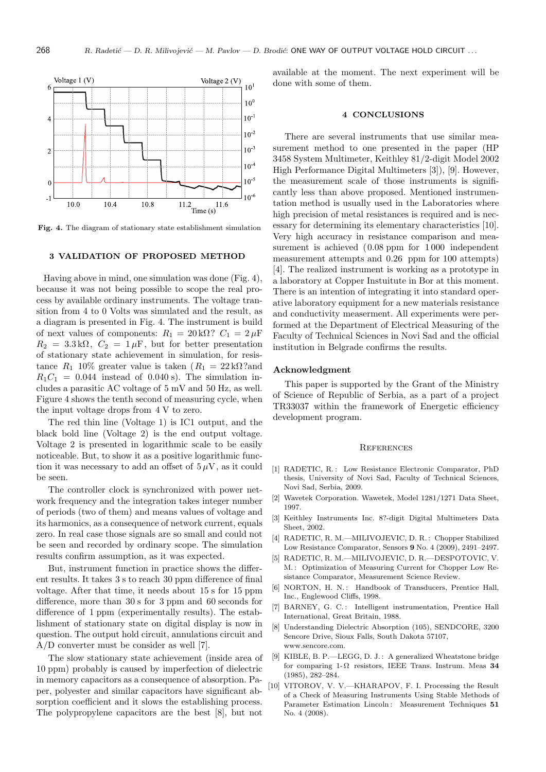

**Fig. 4.** The diagram of stationary state establishment simulation

#### **3 VALIDATION OF PROPOSED METHOD**

Having above in mind, one simulation was done (Fig. 4), because it was not being possible to scope the real process by available ordinary instruments. The voltage transition from 4 to 0 Volts was simulated and the result, as a diagram is presented in Fig. 4. The instrument is build of next values of components:  $R_1 = 20 \text{ k}\Omega$ ?  $C_1 = 2 \mu \text{F}$  $R_2 = 3.3 \text{ k}\Omega$ ,  $C_2 = 1 \mu \text{F}$ , but for better presentation of stationary state achievement in simulation, for resistance  $R_1$  10% greater value is taken ( $R_1 = 22 \text{ k}\Omega$ ?and  $R_1C_1 = 0.044$  instead of 0.040 s). The simulation includes a parasitic AC voltage of 5 mV and 50 Hz, as well. Figure 4 shows the tenth second of measuring cycle, when the input voltage drops from 4 V to zero.

The red thin line (Voltage 1) is IC1 output, and the black bold line (Voltage 2) is the end output voltage. Voltage 2 is presented in logarithmic scale to be easily noticeable. But, to show it as a positive logarithmic function it was necessary to add an offset of  $5 \mu V$ , as it could be seen.

The controller clock is synchronized with power network frequency and the integration takes integer number of periods (two of them) and means values of voltage and its harmonics, as a consequence of network current, equals zero. In real case those signals are so small and could not be seen and recorded by ordinary scope. The simulation results confirm assumption, as it was expected.

But, instrument function in practice shows the different results. It takes 3 s to reach 30 ppm difference of final voltage. After that time, it needs about 15 s for 15 ppm difference, more than 30 s for 3 ppm and 60 seconds for difference of 1 ppm (experimentally results). The establishment of stationary state on digital display is now in question. The output hold circuit, annulations circuit and A/D converter must be consider as well [7].

The slow stationary state achievement (inside area of 10 ppm) probably is caused by imperfection of dielectric in memory capacitors as a consequence of absorption. Paper, polyester and similar capacitors have significant absorption coefficient and it slows the establishing process. The polypropylene capacitors are the best [8], but not

available at the moment. The next experiment will be done with some of them.

#### **4 CONCLUSIONS**

There are several instruments that use similar measurement method to one presented in the paper (HP 3458 System Multimeter, Keithley 81/2-digit Model 2002 High Performance Digital Multimeters [3]), [9]. However, the measurement scale of those instruments is significantly less than above proposed. Mentioned instrumentation method is usually used in the Laboratories where high precision of metal resistances is required and is necessary for determining its elementary characteristics [10]. Very high accuracy in resistance comparison and measurement is achieved  $(0.08 \text{ ppm}$  for 1000 independent measurement attempts and 0*.*26 ppm for 100 attempts) [4]. The realized instrument is working as a prototype in a laboratory at Copper Instuitute in Bor at this moment. There is an intention of integrating it into standard operative laboratory equipment for a new materials resistance and conductivity measerment. All experiments were performed at the Department of Electrical Measuring of the Faculty of Technical Sciences in Novi Sad and the official institution in Belgrade confirms the results.

#### **Acknowledgment**

This paper is supported by the Grant of the Ministry of Science of Republic of Serbia, as a part of a project TR33037 within the framework of Energetic efficiency development program.

#### **REFERENCES**

- [1] RADETIC, R.: Low Resistance Electronic Comparator, PhD thesis, University of Novi Sad, Faculty of Technical Sciences, Novi Sad, Serbia, 2009.
- [2] Wavetek Corporation. Wawetek, Model 1281/1271 Data Sheet, 1997.
- [3] Keithley Instruments Inc. 8?-digit Digital Multimeters Data Sheet, 2002.
- [4] RADETIC, R. M.—MILIVOJEVIC, D. R.: Chopper Stabilized Low Resistance Comparator, Sensors **9** No. 4 (2009), 2491–2497.
- [5] RADETIC, R. M.—MILIVOJEVIC, D. R.—DESPOTOVIC, V. M. : Optimization of Measuring Current for Chopper Low Resistance Comparator, Measurement Science Review.
- [6] NORTON, H. N.: Handbook of Transducers, Prentice Hall, Inc., Englewood Cliffs, 1998.
- [7] BARNEY, G. C.: Intelligent instrumentation, Prentice Hall International, Great Britain, 1988.
- [8] Understanding Dielectric Absorption (105), SENDCORE, 3200 Sencore Drive, Sioux Falls, South Dakota 57107, www.sencore.com.
- [9] KIBLE, B. P.—LEGG, D. J. : A generalized Wheatstone bridge for comparing 1-Ω resistors, IEEE Trans. Instrum. Meas **34** (1985), 282–284.
- [10] VITOROV, V. V.—KHARAPOV, F. I. Processing the Result of a Check of Measuring Instruments Using Stable Methods of Parameter Estimation Lincoln : Measurement Techniques **51** No. 4 (2008).